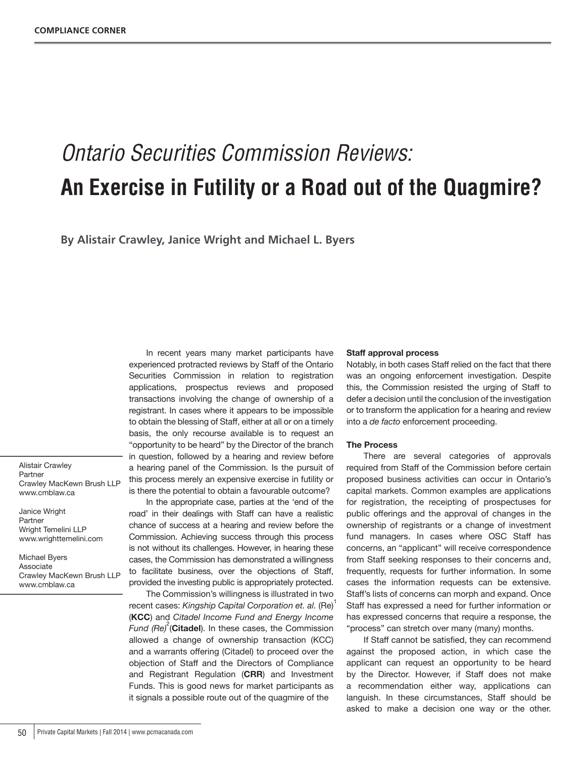# *Ontario Securities Commission Reviews:* **An Exercise in Futility or a Road out of the Quagmire?**

**By Alistair Crawley, Janice Wright and Michael L. Byers**

Alistair Crawley Partner Crawley MacKewn Brush LLP www.cmblaw.ca

Janice Wright Partner Wright Temelini LLP www.wrighttemelini.com

Michael Byers Associate Crawley MacKewn Brush LLP www.cmblaw.ca

In recent years many market participants have experienced protracted reviews by Staff of the Ontario Securities Commission in relation to registration applications, prospectus reviews and proposed transactions involving the change of ownership of a registrant. In cases where it appears to be impossible to obtain the blessing of Staff, either at all or on a timely basis, the only recourse available is to request an "opportunity to be heard" by the Director of the branch in question, followed by a hearing and review before a hearing panel of the Commission. Is the pursuit of this process merely an expensive exercise in futility or is there the potential to obtain a favourable outcome?

In the appropriate case, parties at the 'end of the road' in their dealings with Staff can have a realistic chance of success at a hearing and review before the Commission. Achieving success through this process is not without its challenges. However, in hearing these cases, the Commission has demonstrated a willingness to facilitate business, over the objections of Staff, provided the investing public is appropriately protected.

The Commission's willingness is illustrated in two recent cases: *Kingship Capital Corporation et. al.* (Re) 1 (**KCC**) and *Citadel Income Fund and Energy Income*  Fund (Re)<sup>2</sup>(Citadel). In these cases, the Commission allowed a change of ownership transaction (KCC) and a warrants offering (Citadel) to proceed over the objection of Staff and the Directors of Compliance and Registrant Regulation (**CRR**) and Investment Funds. This is good news for market participants as it signals a possible route out of the quagmire of the

#### **Staff approval process**

Notably, in both cases Staff relied on the fact that there was an ongoing enforcement investigation. Despite this, the Commission resisted the urging of Staff to defer a decision until the conclusion of the investigation or to transform the application for a hearing and review into a *de facto* enforcement proceeding.

#### **The Process**

There are several categories of approvals required from Staff of the Commission before certain proposed business activities can occur in Ontario's capital markets. Common examples are applications for registration, the receipting of prospectuses for public offerings and the approval of changes in the ownership of registrants or a change of investment fund managers. In cases where OSC Staff has concerns, an "applicant" will receive correspondence from Staff seeking responses to their concerns and, frequently, requests for further information. In some cases the information requests can be extensive. Staff's lists of concerns can morph and expand. Once Staff has expressed a need for further information or has expressed concerns that require a response, the "process" can stretch over many (many) months.

If Staff cannot be satisfied, they can recommend against the proposed action, in which case the applicant can request an opportunity to be heard by the Director. However, if Staff does not make a recommendation either way, applications can languish. In these circumstances, Staff should be asked to make a decision one way or the other.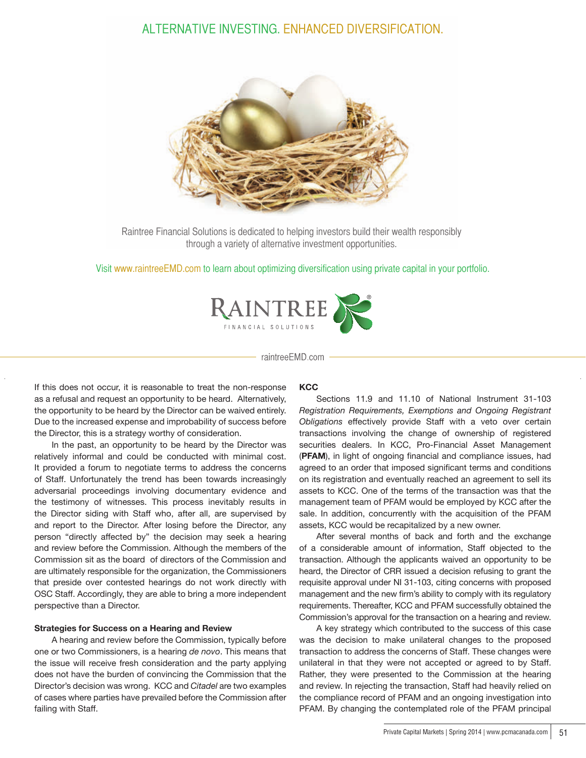## ALTERNATIVE INVESTING. ENHANCED DIVERSIFICATION.



Raintree Financial Solutions is dedicated to helping investors build their wealth responsibly through a variety of alternative investment opportunities.

Visit www.raintreeEMD.com to learn about optimizing diversification using private capital in your portfolio.



raintreeEMD.com

If this does not occur, it is reasonable to treat the non-response as a refusal and request an opportunity to be heard. Alternatively, the opportunity to be heard by the Director can be waived entirely. Due to the increased expense and improbability of success before the Director, this is a strategy worthy of consideration.

In the past, an opportunity to be heard by the Director was relatively informal and could be conducted with minimal cost. It provided a forum to negotiate terms to address the concerns of Staff. Unfortunately the trend has been towards increasingly adversarial proceedings involving documentary evidence and the testimony of witnesses. This process inevitably results in the Director siding with Staff who, after all, are supervised by and report to the Director. After losing before the Director, any person "directly affected by" the decision may seek a hearing and review before the Commission. Although the members of the Commission sit as the board of directors of the Commission and are ultimately responsible for the organization, the Commissioners that preside over contested hearings do not work directly with OSC Staff. Accordingly, they are able to bring a more independent perspective than a Director.

#### **Strategies for Success on a Hearing and Review**

A hearing and review before the Commission, typically before one or two Commissioners, is a hearing *de novo*. This means that the issue will receive fresh consideration and the party applying does not have the burden of convincing the Commission that the Director's decision was wrong. KCC and *Citadel* are two examples of cases where parties have prevailed before the Commission after failing with Staff.

#### **KCC**

Sections 11.9 and 11.10 of National Instrument 31-103 *Registration Requirements, Exemptions and Ongoing Registrant Obligations* effectively provide Staff with a veto over certain transactions involving the change of ownership of registered securities dealers. In KCC, Pro-Financial Asset Management (**PFAM**), in light of ongoing financial and compliance issues, had agreed to an order that imposed significant terms and conditions on its registration and eventually reached an agreement to sell its assets to KCC. One of the terms of the transaction was that the management team of PFAM would be employed by KCC after the sale. In addition, concurrently with the acquisition of the PFAM assets, KCC would be recapitalized by a new owner.

After several months of back and forth and the exchange of a considerable amount of information, Staff objected to the transaction. Although the applicants waived an opportunity to be heard, the Director of CRR issued a decision refusing to grant the requisite approval under NI 31-103, citing concerns with proposed management and the new firm's ability to comply with its regulatory requirements. Thereafter, KCC and PFAM successfully obtained the Commission's approval for the transaction on a hearing and review.

A key strategy which contributed to the success of this case was the decision to make unilateral changes to the proposed transaction to address the concerns of Staff. These changes were unilateral in that they were not accepted or agreed to by Staff. Rather, they were presented to the Commission at the hearing and review. In rejecting the transaction, Staff had heavily relied on the compliance record of PFAM and an ongoing investigation into PFAM. By changing the contemplated role of the PFAM principal